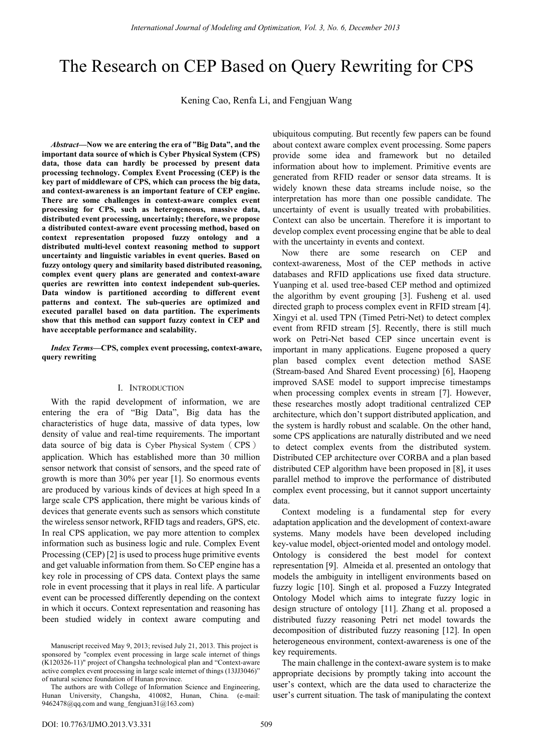# The Research on CEP Based on Query Rewriting for CPS

Kening Cao, Renfa Li, and Fengjuan Wang

*Abstract***—Now we are entering the era of "Big Data", and the important data source of which is Cyber Physical System (CPS) data, those data can hardly be processed by present data processing technology. Complex Event Processing (CEP) is the key part of middleware of CPS, which can process the big data, and context-awareness is an important feature of CEP engine. There are some challenges in context-aware complex event processing for CPS, such as heterogeneous, massive data, distributed event processing, uncertainly; therefore, we propose a distributed context-aware event processing method, based on context representation proposed fuzzy ontology and a distributed multi-level context reasoning method to support uncertainty and linguistic variables in event queries. Based on fuzzy ontology query and similarity based distributed reasoning, complex event query plans are generated and context-aware queries are rewritten into context independent sub-queries. Data window is partitioned according to different event patterns and context. The sub-queries are optimized and executed parallel based on data partition. The experiments show that this method can support fuzzy context in CEP and have acceptable performance and scalability.** 

*Index Terms***—CPS, complex event processing, context-aware, query rewriting** 

## I. INTRODUCTION

With the rapid development of information, we are entering the era of "Big Data", Big data has the characteristics of huge data, massive of data types, low density of value and real-time requirements. The important data source of big data is Cyber Physical System (CPS) application. Which has established more than 30 million sensor network that consist of sensors, and the speed rate of growth is more than 30% per year [1]. So enormous events are produced by various kinds of devices at high speed In a large scale CPS application, there might be various kinds of devices that generate events such as sensors which constitute the wireless sensor network, RFID tags and readers, GPS, etc. In real CPS application, we pay more attention to complex information such as business logic and rule. Complex Event Processing (CEP) [2] is used to process huge primitive events and get valuable information from them. So CEP engine has a key role in processing of CPS data. Context plays the same role in event processing that it plays in real life. A particular event can be processed differently depending on the context in which it occurs. Context representation and reasoning has been studied widely in context aware computing and ubiquitous computing. But recently few papers can be found about context aware complex event processing. Some papers provide some idea and framework but no detailed information about how to implement. Primitive events are generated from RFID reader or sensor data streams. It is widely known these data streams include noise, so the interpretation has more than one possible candidate. The uncertainty of event is usually treated with probabilities. Context can also be uncertain. Therefore it is important to develop complex event processing engine that be able to deal with the uncertainty in events and context.

Now there are some research on CEP and context-awareness, Most of the CEP methods in active databases and RFID applications use fixed data structure. Yuanping et al. used tree-based CEP method and optimized the algorithm by event grouping [3]. Fusheng et al. used directed graph to process complex event in RFID stream [4]. Xingyi et al. used TPN (Timed Petri-Net) to detect complex event from RFID stream [5]. Recently, there is still much work on Petri-Net based CEP since uncertain event is important in many applications. Eugene proposed a query plan based complex event detection method SASE (Stream-based And Shared Event processing) [6], Haopeng improved SASE model to support imprecise timestamps when processing complex events in stream [7]. However, these researches mostly adopt traditional centralized CEP architecture, which don't support distributed application, and the system is hardly robust and scalable. On the other hand, some CPS applications are naturally distributed and we need to detect complex events from the distributed system. Distributed CEP architecture over CORBA and a plan based distributed CEP algorithm have been proposed in [8], it uses parallel method to improve the performance of distributed complex event processing, but it cannot support uncertainty data.

Context modeling is a fundamental step for every adaptation application and the development of context-aware systems. Many models have been developed including key-value model, object-oriented model and ontology model. Ontology is considered the best model for context representation [9]. Almeida et al. presented an ontology that models the ambiguity in intelligent environments based on fuzzy logic [10]. Singh et al. proposed a Fuzzy Integrated Ontology Model which aims to integrate fuzzy logic in design structure of ontology [11]. Zhang et al. proposed a distributed fuzzy reasoning Petri net model towards the decomposition of distributed fuzzy reasoning [12]. In open heterogeneous environment, context-awareness is one of the key requirements.

The main challenge in the context-aware system is to make appropriate decisions by promptly taking into account the user's context, which are the data used to characterize the user's current situation. The task of manipulating the context

Manuscript received May 9, 2013; revised July 21, 2013. This project is sponsored by "complex event processing in large scale internet of things (K120326-11)" project of Changsha technological plan and "Context-aware active complex event processing in large scale internet of things (13JJ3046)" of natural science foundation of Hunan province.

The authors are with College of Information Science and Engineering, Hunan University, Changsha, 410082, Hunan, China. (e-mail: 9462478@qq.com and wang\_fengjuan31@163.com)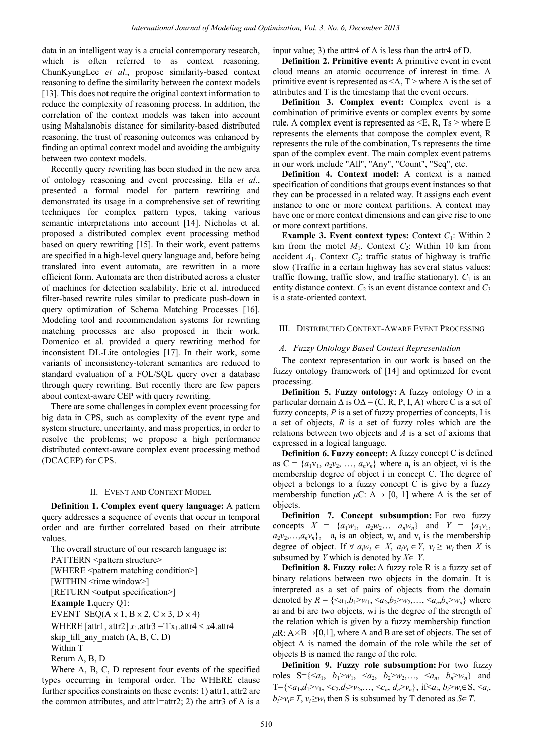data in an intelligent way is a crucial contemporary research, which is often referred to as context reasoning. ChunKyungLee *et al*., propose similarity-based context reasoning to define the similarity between the context models [13]. This does not require the original context information to reduce the complexity of reasoning process. In addition, the correlation of the context models was taken into account using Mahalanobis distance for similarity-based distributed reasoning, the trust of reasoning outcomes was enhanced by finding an optimal context model and avoiding the ambiguity between two context models.

Recently query rewriting has been studied in the new area of ontology reasoning and event processing. Ella *et al*., presented a formal model for pattern rewriting and demonstrated its usage in a comprehensive set of rewriting techniques for complex pattern types, taking various semantic interpretations into account [14]. Nicholas et al. proposed a distributed complex event processing method based on query rewriting [15]. In their work, event patterns are specified in a high-level query language and, before being translated into event automata, are rewritten in a more efficient form. Automata are then distributed across a cluster of machines for detection scalability. Eric et al. introduced filter-based rewrite rules similar to predicate push-down in query optimization of Schema Matching Processes [16]. Modeling tool and recommendation systems for rewriting matching processes are also proposed in their work. Domenico et al. provided a query rewriting method for inconsistent DL-Lite ontologies [17]. In their work, some variants of inconsistency-tolerant semantics are reduced to standard evaluation of a FOL/SOL query over a database through query rewriting. But recently there are few papers about context-aware CEP with query rewriting.

There are some challenges in complex event processing for big data in CPS, such as complexity of the event type and system structure, uncertainty, and mass properties, in order to resolve the problems; we propose a high performance distributed context-aware complex event processing method (DCACEP) for CPS.

#### II. EVENT AND CONTEXT MODEL

**Definition 1. Complex event query language:** A pattern query addresses a sequence of events that occur in temporal order and are further correlated based on their attribute values.

The overall structure of our research language is: PATTERN <pattern structure> [WHERE <pattern matching condition>] [WITHIN <time window>] [RETURN < output specification > ] **Example 1.**query Q1: EVENT SEQ( $A \times 1$ ,  $B \times 2$ ,  $C \times 3$ ,  $D \times 4$ ) WHERE [attr1, attr2]  $x_1$ .attr3 ='1'x<sub>1</sub>.attr4 <  $x$ 4.attr4 skip till any match  $(A, B, C, D)$ Within T Return A, B, D

Where A, B, C, D represent four events of the specified types occurring in temporal order. The WHERE clause further specifies constraints on these events: 1) attr1, attr2 are the common attributes, and attr1=attr2; 2) the attr3 of A is a input value; 3) the atttr4 of A is less than the attr4 of D.

**Definition 2. Primitive event:** A primitive event in event cloud means an atomic occurrence of interest in time. A primitive event is represented as  $\leq A$ ,  $T$   $>$  where A is the set of attributes and T is the timestamp that the event occurs.

**Definition 3. Complex event:** Complex event is a combination of primitive events or complex events by some rule. A complex event is represented as  $\leq E$ , R, Ts  $>$  where E represents the elements that compose the complex event, R represents the rule of the combination, Ts represents the time span of the complex event. The main complex event patterns in our work include "All", "Any", "Count", "Seq", etc.

**Definition 4. Context model:** A context is a named specification of conditions that groups event instances so that they can be processed in a related way. It assigns each event instance to one or more context partitions. A context may have one or more context dimensions and can give rise to one or more context partitions.

**Example 3. Event context types:** Context *C*1: Within 2 km from the motel  $M_1$ . Context  $C_2$ : Within 10 km from accident  $A_1$ . Context  $C_3$ : traffic status of highway is traffic slow (Traffic in a certain highway has several status values: traffic flowing, traffic slow, and traffic stationary).  $C_1$  is an entity distance context.  $C_2$  is an event distance context and  $C_3$ is a state-oriented context.

## III. DISTRIBUTED CONTEXT-AWARE EVENT PROCESSING

## *A. Fuzzy Ontology Based Context Representation*

The context representation in our work is based on the fuzzy ontology framework of [14] and optimized for event processing.

**Definition 5. Fuzzy ontology:** A fuzzy ontology O in a particular domain  $\Delta$  is  $O\Delta = (C, R, P, I, A)$  where C is a set of fuzzy concepts, *P* is a set of fuzzy properties of concepts, I is a set of objects, *R* is a set of fuzzy roles which are the relations between two objects and *A* is a set of axioms that expressed in a logical language.

**Definition 6. Fuzzy concept:** A fuzzy concept C is defined as  $C = \{a_1v_1, a_2v_2, \ldots, a_nv_n\}$  where  $a_i$  is an object, vi is the membership degree of object i in concept C. The degree of object a belongs to a fuzzy concept  $C$  is give by a fuzzy membership function  $\mu$ C: A $\rightarrow$  [0, 1] where A is the set of objects.

**Definition 7. Concept subsumption:** For two fuzzy concepts  $X = \{a_1w_1, a_2w_2... a_nw_n\}$  and  $Y = \{a_1v_1, a_2w_2... a_nw_n\}$  $a_2v_2,...,a_nv_n$ ,  $a_i$  is an object, w<sub>i</sub> and v<sub>i</sub> is the membership degree of object. If  $\forall a_i w_i \in X$ ,  $a_i v_i \in Y$ ,  $v_i \geq w_i$  then *X* is subsumed by *Y* which is denoted by *X*∈ *Y*.

**Definition 8. Fuzzy role:** A fuzzy role R is a fuzzy set of binary relations between two objects in the domain. It is interpreted as a set of pairs of objects from the domain denoted by  $R = \{ \langle a_1, b_1 \rangle w_1, \langle a_2, b_2 \rangle w_2, \dots, \langle a_n, b_n \rangle w_n \}$  where ai and bi are two objects, wi is the degree of the strength of the relation which is given by a fuzzy membership function  $\mu$ R: A $\times$ B $\rightarrow$ [0,1], where A and B are set of objects. The set of object A is named the domain of the role while the set of objects B is named the range of the role.

**Definition 9. Fuzzy role subsumption:** For two fuzzy roles  $S = \{ \langle a_1, b_1 \rangle w_1, \langle a_2, b_2 \rangle w_2, \dots, \langle a_n, b_n \rangle w_n \}$  and T={ $\langle a_1, d_1 \rangle v_1$ ,  $\langle c_2, d_2 \rangle v_2, \ldots, \langle c_n, d_n \rangle v_n$ }, if  $\langle a_i, b_i \rangle w_i \in S$ ,  $\langle a_i, a_i \rangle w_i$  $b_i > v_i \in T$ ,  $v_i \geq w_i$  then S is subsumed by T denoted as *S*∈*T*.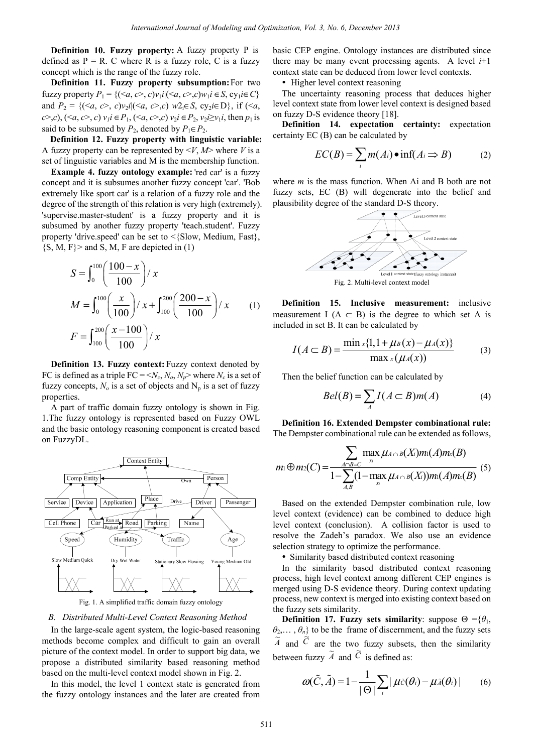**Definition 10. Fuzzy property:** A fuzzy property P is defined as  $P = R$ . C where R is a fuzzy role, C is a fuzzy concept which is the range of the fuzzy role.

**Definition 11. Fuzzy property subsumption:** For two  $fuzzy property P_1 = \{ (\langle a, c \rangle, c) v_1 i | (\langle a, c \rangle, c) w_1 i \in S, cy_1 i \in C \}$ and  $P_2 = \{(\langle a, c \rangle, c) \vee (c \langle a, c \rangle, c) \vee (c \langle a, c \rangle, c) \vee (c \langle a, c \rangle, c) \vee (c \langle a, c \rangle, c) \vee (c \langle a, c \rangle, c) \vee (c \langle a, c \rangle, c) \vee (c \langle a, c \rangle, c) \vee (c \langle a, c \rangle, c) \vee (c \langle a, c \rangle, c) \vee (c \langle a, c \rangle, c) \vee (c \langle a, c \rangle, c) \vee (c \langle a, c \rangle, c) \vee (c \langle a, c \rangle, c) \vee (c$ *c*>*,c*), (≤*a*, *c*>, *c*)  $v_1$ *i* ∈ *P*<sub>1</sub>, (≤*a*, *c*>,*c*)  $v_2$ *i* ∈ *P*<sub>2</sub>,  $v_2$ *i*≥ $v_1$ *i*, then  $p_1$  is said to be subsumed by  $P_2$ , denoted by  $P_1 \in P_2$ .

**Definition 12. Fuzzy property with linguistic variable:** A fuzzy property can be represented by  $\langle V, M \rangle$  where *V* is a set of linguistic variables and M is the membership function.

**Example 4. fuzzy ontology example:** 'red car' is a fuzzy concept and it is subsumes another fuzzy concept 'car'. 'Bob extremely like sport car' is a relation of a fuzzy role and the degree of the strength of this relation is very high (extremely). 'supervise.master-student' is a fuzzy property and it is subsumed by another fuzzy property 'teach.student'. Fuzzy property 'drive.speed' can be set to  $\leq$ {Slow, Medium, Fast},  $\{S, M, F\}$  and S, M, F are depicted in (1)

$$
S = \int_0^{100} \left( \frac{100 - x}{100} \right) / x
$$
  
\n
$$
M = \int_0^{100} \left( \frac{x}{100} \right) / x + \int_{100}^{200} \left( \frac{200 - x}{100} \right) / x
$$
 (1)  
\n
$$
F = \int_{100}^{200} \left( \frac{x - 100}{100} \right) / x
$$

**Definition 13. Fuzzy context:** Fuzzy context denoted by FC is defined as a triple  $FC = \langle N_c, N_o, N_p \rangle$  where  $N_c$  is a set of fuzzy concepts,  $N<sub>o</sub>$  is a set of objects and  $N<sub>p</sub>$  is a set of fuzzy properties.

A part of traffic domain fuzzy ontology is shown in Fig. 1.The fuzzy ontology is represented based on Fuzzy OWL and the basic ontology reasoning component is created based on FuzzyDL.



Fig. 1. A simplified traffic domain fuzzy ontology

# *B. Distributed Multi-Level Context Reasoning Method*

In the large-scale agent system, the logic-based reasoning methods become complex and difficult to gain an overall picture of the context model. In order to support big data, we propose a distributed similarity based reasoning method based on the multi-level context model shown in Fig. 2.

In this model, the level 1 context state is generated from the fuzzy ontology instances and the later are created from basic CEP engine. Ontology instances are distributed since there may be many event processing agents. A level  $i+1$ context state can be deduced from lower level contexts.

• Higher level context reasoning

The uncertainty reasoning process that deduces higher level context state from lower level context is designed based on fuzzy D-S evidence theory [18].

**Definition 14. expectation certainty:** expectation certainty EC (B) can be calculated by

$$
EC(B) = \sum_{i} m(A_i) \bullet \inf(A_i \Rightarrow B) \tag{2}
$$

where *m* is the mass function. When Ai and B both are not fuzzy sets, EC (B) will degenerate into the belief and plausibility degree of the standard D-S theory.



Fig. 2. Multi-level context model

**Definition 15. Inclusive measurement:** inclusive measurement I ( $A \subset B$ ) is the degree to which set A is included in set B. It can be calculated by

$$
I(A \subset B) = \frac{\min_{x} \{1, 1 + \mu(B)(x) - \mu(A)(x)\}}{\max_{x} (\mu(A)(x))}
$$
(3)

Then the belief function can be calculated by

$$
Bel(B) = \sum_{A} I(A \subset B)m(A) \tag{4}
$$

**Definition 16. Extended Dempster combinational rule:** The Dempster combinational rule can be extended as follows,

$$
m_1 \oplus m_2(C) = \frac{\sum_{A \cap B = C} \max_{x} \mu_{A \cap B}(X_i) m_1(A) m_x(B)}{1 - \sum_{A, B} (1 - \max_{x} \mu_{A \cap B}(X_i)) m_1(A) m_x(B)}
$$
(5)

Based on the extended Dempster combination rule, low level context (evidence) can be combined to deduce high level context (conclusion). A collision factor is used to resolve the Zadeh's paradox. We also use an evidence selection strategy to optimize the performance.

• Similarity based distributed context reasoning

In the similarity based distributed context reasoning process, high level context among different CEP engines is merged using D-S evidence theory. During context updating process, new context is merged into existing context based on the fuzzy sets similarity.

**Definition 17. Fuzzy sets similarity**: suppose  $\Theta = {\theta_1}$ ,  $\theta_2$ ,...,  $\theta_n$ } to be the frame of discernment, and the fuzzy sets  $\tilde{A}$  and  $\tilde{C}$  are the two fuzzy subsets, then the similarity between fuzzy  $\tilde{A}$  and  $\tilde{C}$  is defined as:

$$
\omega(\tilde{C}, \tilde{A}) = 1 - \frac{1}{|\Theta|} \sum_{i} |\mu \tilde{c}(\theta_i) - \mu \tilde{A}(\theta_i)| \qquad (6)
$$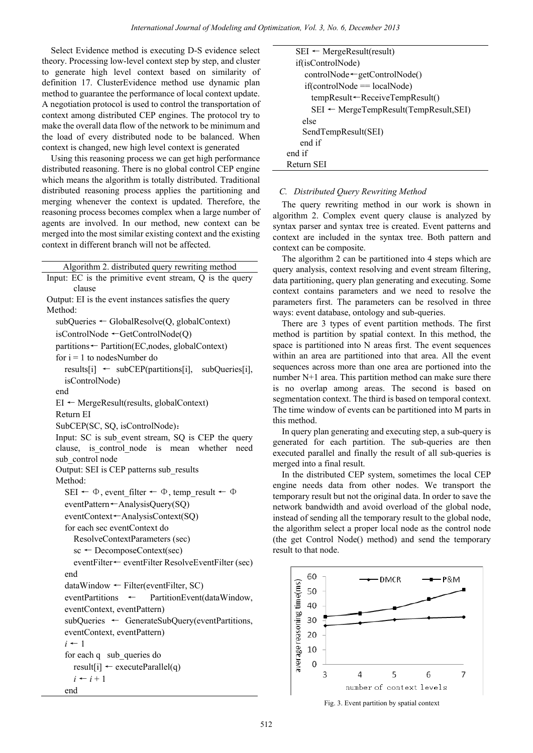Select Evidence method is executing D-S evidence select theory. Processing low-level context step by step, and cluster to generate high level context based on similarity of definition 17. ClusterEvidence method use dynamic plan method to guarantee the performance of local context update. A negotiation protocol is used to control the transportation of context among distributed CEP engines. The protocol try to make the overall data flow of the network to be minimum and the load of every distributed node to be balanced. When context is changed, new high level context is generated

Using this reasoning process we can get high performance distributed reasoning. There is no global control CEP engine which means the algorithm is totally distributed. Traditional distributed reasoning process applies the partitioning and merging whenever the context is updated. Therefore, the reasoning process becomes complex when a large number of agents are involved. In our method, new context can be merged into the most similar existing context and the existing context in different branch will not be affected.

Algorithm 2. distributed query rewriting method

```
Input: EC is the primitive event stream, Q is the query 
        clause 
Output: EI is the event instances satisfies the query 
Method: 
  subQueries ← GlobalResolve(Q, globalContext) 
  isControlNode ←GetControlNode(Q) 
  partitions← Partition(EC,nodes, globalContext) 
  for i = 1 to nodesNumber do
     results[i] \leftarrow subCEP(partitions[i], subQueries[i],isControlNode) 
  end 
  EI \leftarrow MergeResult(results, globalContext)Return EI 
  SubCEP(SC, SQ, isControlNode):
  Input: SC is sub event stream, SQ is CEP the query
  clause, is control node is mean whether need
  sub_control node
  Output: SEI is CEP patterns sub_results 
  Method: 
     SEI \leftarrow \Phi, event filter \leftarrow \Phi, temp_result \leftarrow \PhieventPattern←AnalysisQuery(SQ) 
     eventContext←AnalysisContext(SQ) 
     for each sec eventContext do 
        ResolveContextParameters (sec) 
        sc ← DecomposeContext(sec) 
        eventFilter← eventFilter ResolveEventFilter (sec)
     end 
     dataWindow ← Filter(eventFilter, SC) 
     eventPartitions ← PartitionEvent(dataWindow, 
     eventContext, eventPattern) 
     subQueries ← GenerateSubQuery(eventPartitions, 
     eventContext, eventPattern) 
     i ← 1 
     for each q sub_queries do 
        result[i] \leftarrow executeParallel(q)
        i \leftarrow i + 1end 
                          International Journal of Modeling and Optimization, Vol. 3, No. 6, December 2013<br>
and is excelling P.S syidence select in Section 1914. No. 6, December 2013<br>
control the strained voltain of the material international op
```

```
SEI \leftarrow MergeResult(result)if(isControlNode) 
      controlNode←getControlNode() 
      if(controlNode == localNode) 
        tempResult←ReceiveTempResult() 
        SEI ← MergeTempResult(TempResult,SEI) 
     else 
     SendTempResult(SEI) 
   end if 
end if 
Return SEI
```
# *C. Distributed Query Rewriting Method*

The query rewriting method in our work is shown in algorithm 2. Complex event query clause is analyzed by syntax parser and syntax tree is created. Event patterns and context are included in the syntax tree. Both pattern and context can be composite.

The algorithm 2 can be partitioned into 4 steps which are query analysis, context resolving and event stream filtering, data partitioning, query plan generating and executing. Some context contains parameters and we need to resolve the parameters first. The parameters can be resolved in three ways: event database, ontology and sub-queries.

There are 3 types of event partition methods. The first method is partition by spatial context. In this method, the space is partitioned into N areas first. The event sequences within an area are partitioned into that area. All the event sequences across more than one area are portioned into the number N+1 area. This partition method can make sure there is no overlap among areas. The second is based on segmentation context. The third is based on temporal context. The time window of events can be partitioned into M parts in this method.

In query plan generating and executing step, a sub-query is generated for each partition. The sub-queries are then executed parallel and finally the result of all sub-queries is merged into a final result.

In the distributed CEP system, sometimes the local CEP engine needs data from other nodes. We transport the temporary result but not the original data. In order to save the network bandwidth and avoid overload of the global node, instead of sending all the temporary result to the global node, the algorithm select a proper local node as the control node (the get Control Node() method) and send the temporary result to that node.



Fig. 3. Event partition by spatial context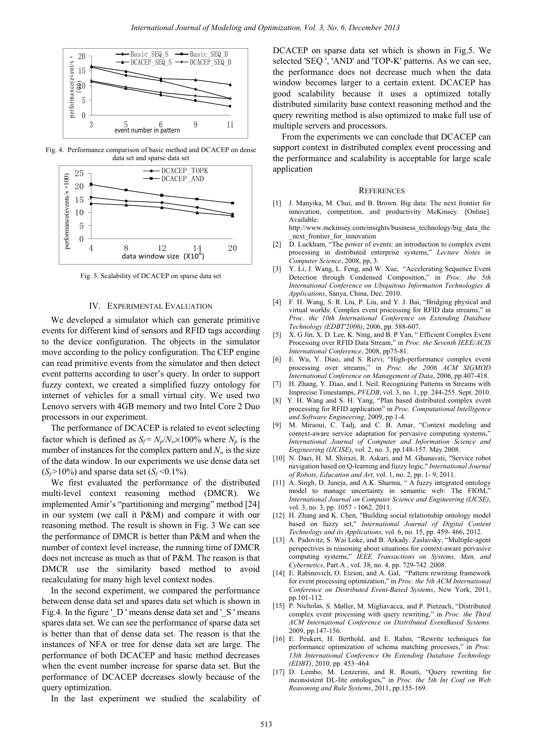

Fig. 4. Performance comparison of basic method and DCACEP on dense data set and sparse data set



Fig. 5. Scalability of DCACEP on sparse data set

#### IV. EXPERIMENTAL EVALUATION

We developed a simulator which can generate primitive events for different kind of sensors and RFID tags according to the device configuration. The objects in the simulator move according to the policy configuration. The CEP engine can read primitive events from the simulator and then detect event patterns according to user's query. In order to support fuzzy context, we created a simplified fuzzy ontology for internet of vehicles for a small virtual city. We used two Lenovo servers with 4GB memory and two Intel Core 2 Duo processors in our experiment.

The performance of DCACEP is related to event selecting factor which is defined as  $S_f = N_p/N_w \times 100\%$  where  $N_p$  is the number of instances for the complex pattern and  $N_w$  is the size of the data window. In our experiments we use dense data set  $(S_f > 10\%)$  and sparse data set  $(S_f < 0.1\%)$ .

We first evaluated the performance of the distributed multi-level context reasoning method (DMCR). We implemented Amir's "partitioning and merging" method [24] in our system (we call it P&M) and compare it with our reasoning method. The result is shown in Fig. 3 We can see the performance of DMCR is better than P&M and when the number of context level increase, the running time of DMCR does not increase as much as that of P&M. The reason is that DMCR use the similarity based method to avoid recalculating for many high level context nodes.

In the second experiment, we compared the performance between dense data set and spares data set which is shown in Fig.4. In the figure 'D' means dense data set and 'S ' means spares data set. We can see the performance of sparse data set is better than that of dense data set. The reason is that the instances of NFA or tree for dense data set are large. The performance of both DCACEP and basic method decreases when the event number increase for sparse data set. But the performance of DCACEP decreases slowly because of the query optimization. International Journal of Modeling and Optimization, Vol. 3, No. 6, December 2013<br>
Existence Content and Society of Modeling and Optimization, Vol. 3, No. 6, December 2013<br>
Existence Content and Society of Modeling and Op

In the last experiment we studied the scalability of

DCACEP on sparse data set which is shown in Fig.5. We selected 'SEQ ', 'AND' and 'TOP-K' patterns. As we can see, the performance does not decrease much when the data window becomes larger to a certain extent. DCACEP has good scalability because it uses a optimized totally distributed similarity base context reasoning method and the query rewriting method is also optimized to make full use of multiple servers and processors.

From the experiments we can conclude that DCACEP can support context in distributed complex event processing and the performance and scalability is acceptable for large scale application

#### **REFERENCES**

[1] J. Manyika, M. Chui, and B. Brown. Big data: The next frontier for innovation, competition, and productivity McKinsey. [Online]. Available: http://www.mckinsey.com/insights/business\_technology/big\_data\_the

next frontier for innovation

- [2] D. Luckham, "The power of events: an introduction to complex event processing in distributed enterprise systems," *Lecture Notes in Computer Science*, 2008, pp, 3.
- [3] Y. Li, J. Wang, L. Feng, and W. Xue, "Accelerating Sequence Event Detection through Condensed Composition," in *Proc. the 5th International Conference on Ubiquitous Information Technologies & Applications*, Sanya, China, Dec. 2010.
- [4] F. H. Wang, S. R. Liu, P. Liu, and Y. J. Bai, "Bridging physical and virtual worlds: Complex event processing for RFID data streams," in *Proc. the 10th International Conference on Extending Database Technology (EDBT'2006)*, 2006, pp. 588-607.
- [5] X. G Jin, X. D. Lee, K. Ning, and B. P Yan, " Efficient Complex Event Processing over RFID Data Stream," in *Proc. the Seventh IEEE/ACIS International Conference*, 2008, pp75-81.
- [6] E. Wu, Y. Diao, and S. Rizvi, "High-performance complex event processing over streams," in *Proc. the 2006 ACM SIGMOD International Conference on Management of Data*, 2006, pp.407-418.
- [7] H. Zhang, Y. Diao, and I. Neil. Recognizing Patterns in Streams with Imprecise Timestamps, *PVLDB*, vol. 3, no. 1, pp. 244-255. Sept. 2010.
- [8] Y. H. Wang and S. H. Yang, "Plan based distributed complex event processing for RFID application" in *Proc. Computational Intelligence and Software Engineering*, 2009, pp.1-4.
- [9] M. Miraoui, C. Tadj, and C. B. Amar, "Context modeling and context-aware service adaptation for pervasive computing systems," *International Journal of Computer and Information Science and Engineering (IJCISE)*, vol. 2, no. 3, pp.148-157. May 2008.
- [10] N. Daei, H. M. Shirazi, R. Askari, and M. Ghanavati, "Service robot navigation based on Q-learning and fuzzy logic," *International Journal of Robots, Education and Art*, vol. 1, no. 2, pp. 1- 9, 2011.
- [11] A. Singh, D. Juneja, and A.K. Sharma, " A fuzzy integrated ontology model to manage uncertainty in semantic web: The FIOM, *International Journal on Computer Science and Engineering (IJCSE)*, vol. 3, no. 3, pp. 1057 - 1062. 2011.
- [12] H. Zhang and K. Chen, "Building social relationship ontology model based on fuzzy set," *International Journal of Digital Content Technology and its Applications*, vol. 6, no. 15, pp. 459- 466, 2012.
- [13] A. Padovitz, S. Wai Loke, and B. Arkady. Zaslavsky, "Multiple-agent" perspectives in reasoning about situations for context-aware pervasive computing systems," *IEEE Transactions on Systems, Man, and Cybernetics*, Part A , vol. 38, no. 4, pp. 729-742 .2008.
- [14] E. Rabinovich, O. Etzion, and A. Gal, "Pattern rewriting framework for event processing optimization," in *Proc. the 5th ACM International Conference on Distributed Event-Based Systems*, New York, 2011, pp.101-112.
- [15] P. Nicholas, S. Møller, M. Migliavacca, and P. Pietzuch, "Distributed complex event processing with query rewriting," in *Proc. the Third ACM International Conference on Distributed EventBased Systems.*  2009, pp.147-156.
- [16] E. Peukert, H. Berthold, and E. Rahm, "Rewrite techniques for performance optimization of schema matching processes," in *Proc. 13th International Conference On Extending Database Technology (EDBT)*, 2010, pp. 453–464.
- [17] D. Lembo, M. Lenzerini, and R. Rosati, "Query rewriting for inconsistent DL-lite ontologies," in *Proc. the 5th Int Conf on Web Reasoning and Rule Systems*, 2011, pp.155-169.